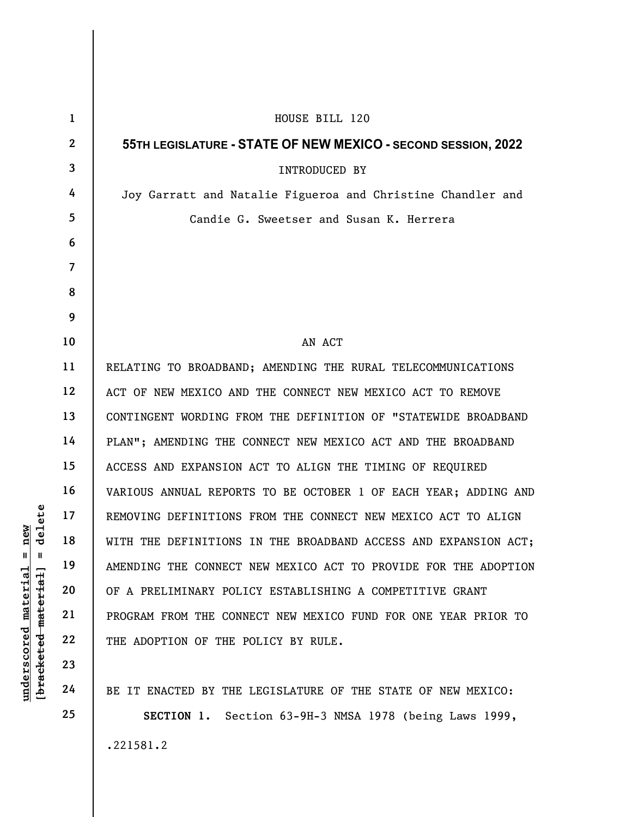|                                     | $\mathbf{1}$   | HOUSE BILL 120                                                  |
|-------------------------------------|----------------|-----------------------------------------------------------------|
|                                     | $\mathbf{2}$   | 55TH LEGISLATURE - STATE OF NEW MEXICO - SECOND SESSION, 2022   |
|                                     | $\mathbf{3}$   | <b>INTRODUCED BY</b>                                            |
|                                     | 4              | Joy Garratt and Natalie Figueroa and Christine Chandler and     |
|                                     | 5              | Candie G. Sweetser and Susan K. Herrera                         |
|                                     | 6              |                                                                 |
|                                     | $\overline{7}$ |                                                                 |
|                                     | 8              |                                                                 |
|                                     | 9              |                                                                 |
|                                     | 10             | AN ACT                                                          |
|                                     | 11             | RELATING TO BROADBAND; AMENDING THE RURAL TELECOMMUNICATIONS    |
|                                     | 12             | ACT OF NEW MEXICO AND THE CONNECT NEW MEXICO ACT TO REMOVE      |
|                                     | 13             | CONTINGENT WORDING FROM THE DEFINITION OF "STATEWIDE BROADBAND  |
|                                     | 14             | PLAN"; AMENDING THE CONNECT NEW MEXICO ACT AND THE BROADBAND    |
|                                     | 15             | ACCESS AND EXPANSION ACT TO ALIGN THE TIMING OF REQUIRED        |
|                                     | 16             | VARIOUS ANNUAL REPORTS TO BE OCTOBER 1 OF EACH YEAR; ADDING AND |
| delete                              | 17             | REMOVING DEFINITIONS FROM THE CONNECT NEW MEXICO ACT TO ALIGN   |
| new                                 | 18             | WITH THE DEFINITIONS IN THE BROADBAND ACCESS AND EXPANSION ACT; |
| $\mathbf{u}$<br>Ш                   | 19             | AMENDING THE CONNECT NEW MEXICO ACT TO PROVIDE FOR THE ADOPTION |
| material                            | 20             | OF A PRELIMINARY POLICY ESTABLISHING A COMPETITIVE GRANT        |
|                                     | 21             | PROGRAM FROM THE CONNECT NEW MEXICO FUND FOR ONE YEAR PRIOR TO  |
|                                     | 22             | THE ADOPTION OF THE POLICY BY RULE.                             |
| [bracketed material]<br>underscored | 23             |                                                                 |
|                                     | 24             | BE IT ENACTED BY THE LEGISLATURE OF THE STATE OF NEW MEXICO:    |

SECTION 1. Section 63-9H-3 NMSA 1978 (being Laws 1999, .221581.2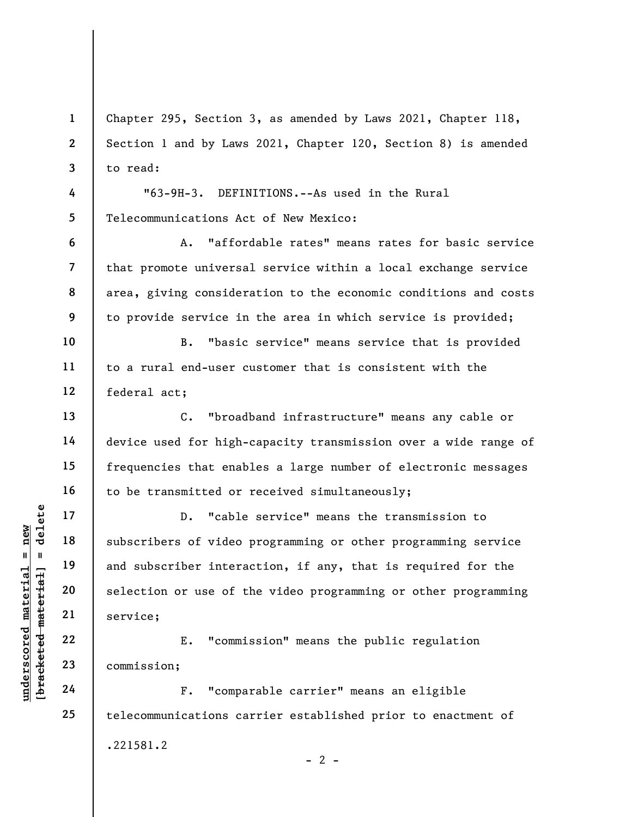1 2 3 Chapter 295, Section 3, as amended by Laws 2021, Chapter 118, Section 1 and by Laws 2021, Chapter 120, Section 8) is amended to read:

"63-9H-3. DEFINITIONS.--As used in the Rural Telecommunications Act of New Mexico:

A. "affordable rates" means rates for basic service that promote universal service within a local exchange service area, giving consideration to the economic conditions and costs to provide service in the area in which service is provided;

B. "basic service" means service that is provided to a rural end-user customer that is consistent with the federal act;

C. "broadband infrastructure" means any cable or device used for high-capacity transmission over a wide range of frequencies that enables a large number of electronic messages to be transmitted or received simultaneously;

underscored material = new [bracketed material] = delete D. "cable service" means the transmission to subscribers of video programming or other programming service and subscriber interaction, if any, that is required for the selection or use of the video programming or other programming service;

E. "commission" means the public regulation commission;

F. "comparable carrier" means an eligible telecommunications carrier established prior to enactment of .221581.2  $- 2 -$ 

4

5

6

7

8

9

10

11

12

13

14

15

16

17

18

19

20

21

22

23

24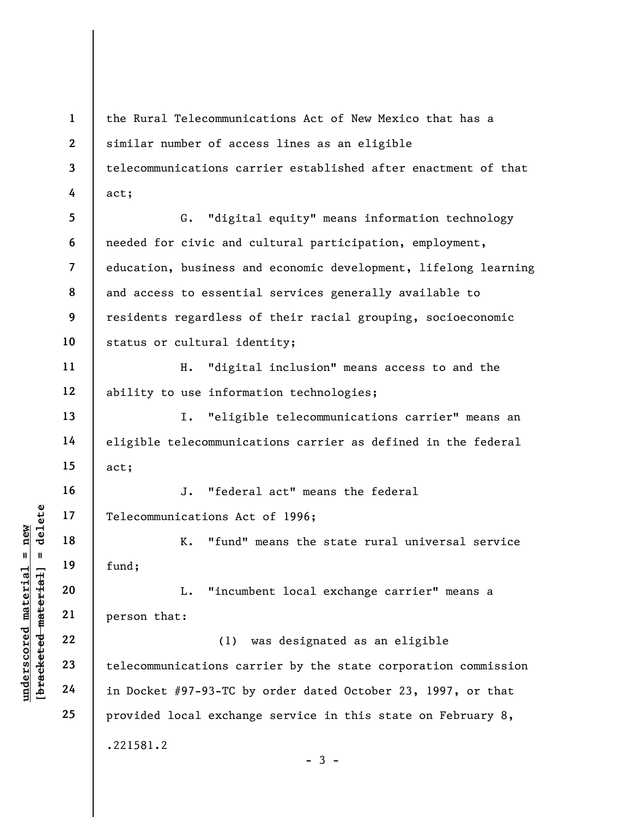understand material material material material material material material material material material control of the communications can can can can can can control of the communications can can can can can can control of th 1 2 3 4 5 6 7 8 9 10 11 12 13 14 15 16 17 18 19 20 21 22 the Rural Telecommunications Act of New Mexico that has a similar number of access lines as an eligible telecommunications carrier established after enactment of that act; G. "digital equity" means information technology needed for civic and cultural participation, employment, education, business and economic development, lifelong learning and access to essential services generally available to residents regardless of their racial grouping, socioeconomic status or cultural identity; H. "digital inclusion" means access to and the ability to use information technologies; I. "eligible telecommunications carrier" means an eligible telecommunications carrier as defined in the federal act; J. "federal act" means the federal Telecommunications Act of 1996; K. "fund" means the state rural universal service fund; L. "incumbent local exchange carrier" means a person that: (1) was designated as an eligible

telecommunications carrier by the state corporation commission in Docket #97-93-TC by order dated October 23, 1997, or that provided local exchange service in this state on February 8, .221581.2

23

24

25

 $-3 -$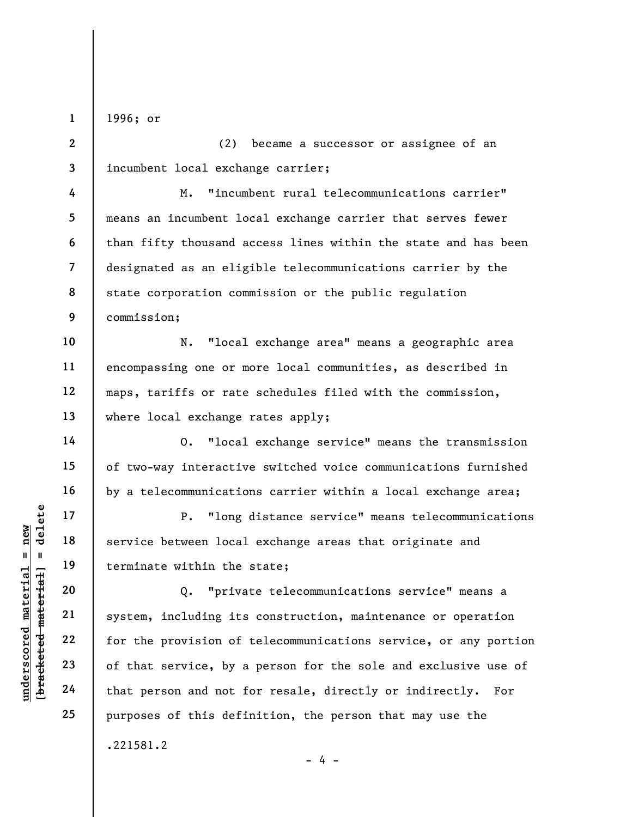1996; or

1

2 3 (2) became a successor or assignee of an incumbent local exchange carrier;

4 5 6 7 8 9 M. "incumbent rural telecommunications carrier" means an incumbent local exchange carrier that serves fewer than fifty thousand access lines within the state and has been designated as an eligible telecommunications carrier by the state corporation commission or the public regulation commission;

10 11 12 13 N. "local exchange area" means a geographic area encompassing one or more local communities, as described in maps, tariffs or rate schedules filed with the commission, where local exchange rates apply;

O. "local exchange service" means the transmission of two-way interactive switched voice communications furnished by a telecommunications carrier within a local exchange area;

P. "long distance service" means telecommunications service between local exchange areas that originate and terminate within the state;

underscored material = new [bracketed material] = delete Q. "private telecommunications service" means a system, including its construction, maintenance or operation for the provision of telecommunications service, or any portion of that service, by a person for the sole and exclusive use of that person and not for resale, directly or indirectly. For purposes of this definition, the person that may use the .221581.2

 $- 4 -$ 

14

15

16

17

18

19

20

21

22

23

24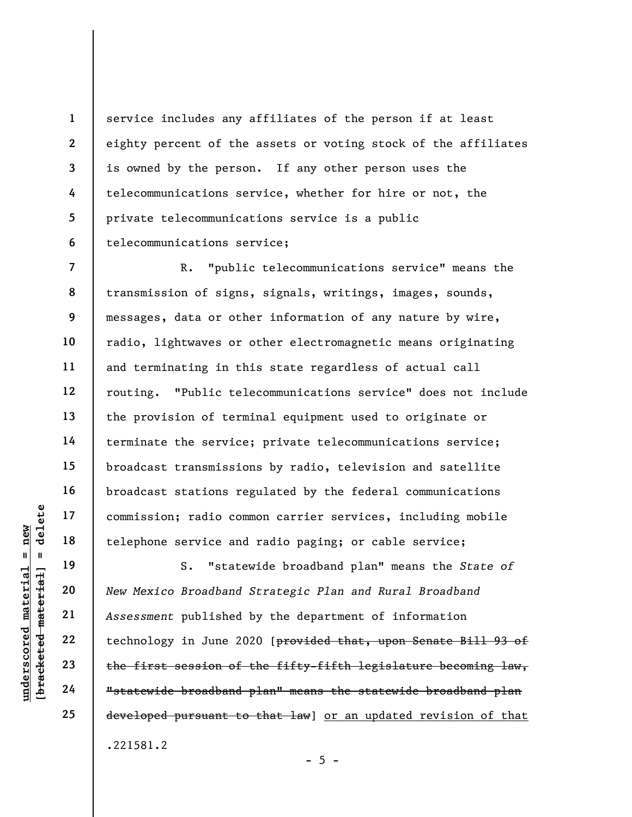service includes any affiliates of the person if at least eighty percent of the assets or voting stock of the affiliates is owned by the person. If any other person uses the telecommunications service, whether for hire or not, the private telecommunications service is a public telecommunications service;

7 8 9 10 11 12 13 14 15 16 17 18 R. "public telecommunications service" means the transmission of signs, signals, writings, images, sounds, messages, data or other information of any nature by wire, radio, lightwaves or other electromagnetic means originating and terminating in this state regardless of actual call routing. "Public telecommunications service" does not include the provision of terminal equipment used to originate or terminate the service; private telecommunications service; broadcast transmissions by radio, television and satellite broadcast stations regulated by the federal communications commission; radio common carrier services, including mobile telephone service and radio paging; or cable service;

underscored material = new [bracketed material] = delete S. "statewide broadband plan" means the State of New Mexico Broadband Strategic Plan and Rural Broadband Assessment published by the department of information technology in June 2020 [provided that, upon Senate Bill 93 of the first session of the fifty-fifth legislature becoming law, "statewide broadband plan" means the statewide broadband plan developed pursuant to that law] or an updated revision of that .221581.2

19

20

21

22

23

24

25

1

2

3

4

5

6

 $- 5 -$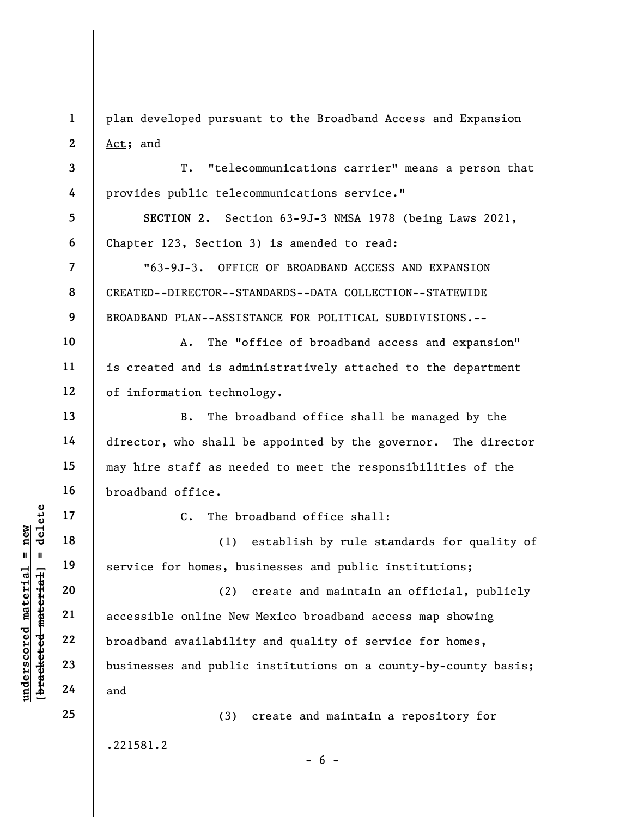1 2 plan developed pursuant to the Broadband Access and Expansion Act; and

3 T. "telecommunications carrier" means a person that provides public telecommunications service."

5 6 SECTION 2. Section 63-9J-3 NMSA 1978 (being Laws 2021, Chapter 123, Section 3) is amended to read:

"63-9J-3. OFFICE OF BROADBAND ACCESS AND EXPANSION CREATED--DIRECTOR--STANDARDS--DATA COLLECTION--STATEWIDE BROADBAND PLAN--ASSISTANCE FOR POLITICAL SUBDIVISIONS.--

10 11 12 A. The "office of broadband access and expansion" is created and is administratively attached to the department of information technology.

B. The broadband office shall be managed by the director, who shall be appointed by the governor. The director may hire staff as needed to meet the responsibilities of the broadband office.

C. The broadband office shall:

(1) establish by rule standards for quality of service for homes, businesses and public institutions;

underscored material material material and<br>
understand material of the service for homes, but<br>
we were the service for homes, but<br>
accessible online New<br>
22<br>
broadband availabilit<br>
24<br>
and (2) create and maintain an official, publicly accessible online New Mexico broadband access map showing broadband availability and quality of service for homes, businesses and public institutions on a county-by-county basis; and

.221581.2

(3) create and maintain a repository for

 $- 6 -$ 

4

7

8

9

13

14

15

16

17

18

19

20

21

22

23

24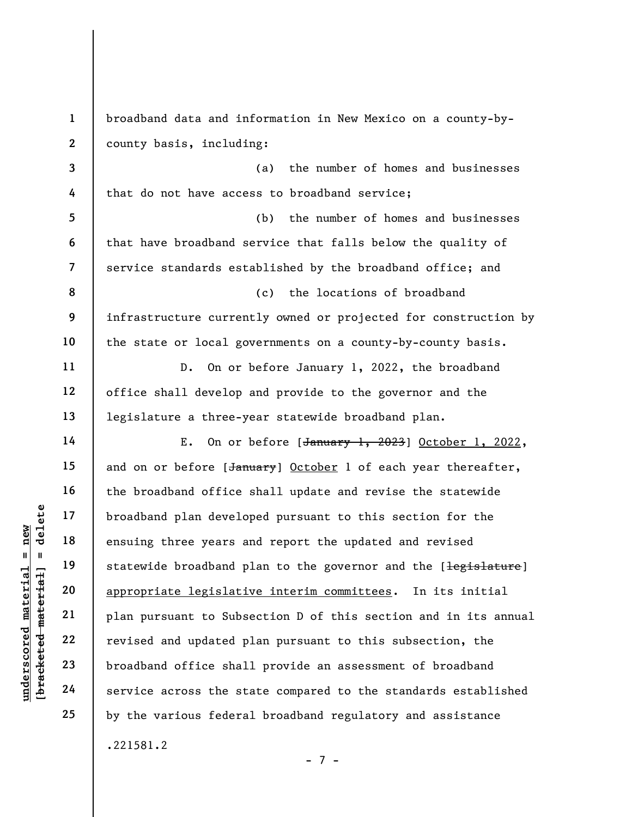understand material end appropriate legislation and well appropriate legislation appropriate legislation and updated p<br>
understand material plan pursuant to Subsetted material plan pursuant to Subsetted and updated p<br>
unde 1 2 3 4 5 6 7 8 9 10 11 12 13 14 15 16 17 18 19 20 21 22 23 24 25 broadband data and information in New Mexico on a county-bycounty basis, including: (a) the number of homes and businesses that do not have access to broadband service; (b) the number of homes and businesses that have broadband service that falls below the quality of service standards established by the broadband office; and (c) the locations of broadband infrastructure currently owned or projected for construction by the state or local governments on a county-by-county basis. D. On or before January 1, 2022, the broadband office shall develop and provide to the governor and the legislature a three-year statewide broadband plan. E. On or before  $[\frac{January}{1, 2023}]$  October 1, 2022, and on or before [January] October 1 of each year thereafter, the broadband office shall update and revise the statewide broadband plan developed pursuant to this section for the ensuing three years and report the updated and revised statewide broadband plan to the governor and the [legislature] appropriate legislative interim committees. In its initial plan pursuant to Subsection D of this section and in its annual revised and updated plan pursuant to this subsection, the broadband office shall provide an assessment of broadband service across the state compared to the standards established by the various federal broadband regulatory and assistance .221581.2

- 7 -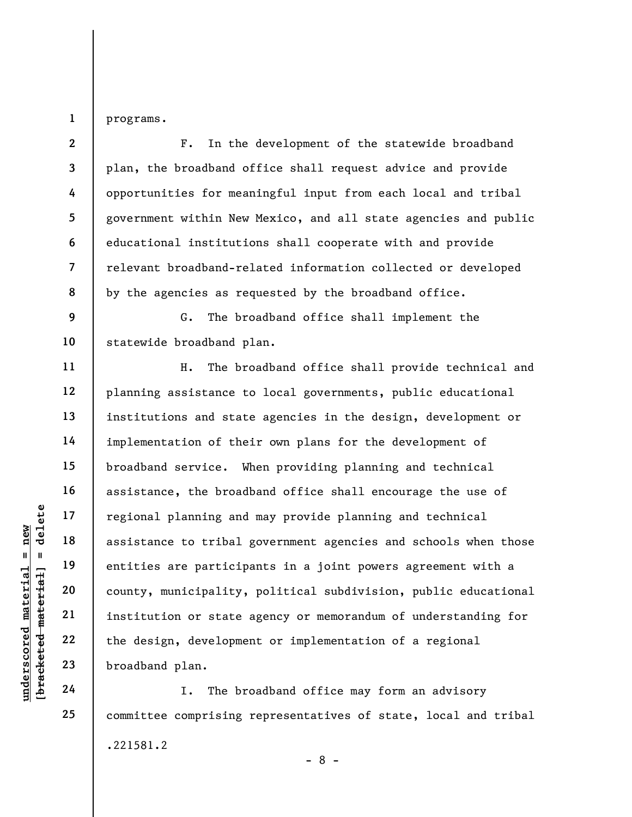programs.

1

underscored material = new [bracketed material] = delete 2 3 4 5 6 7 8 9 10 11 12 13 14 15 16 17 18 19 20 21 22 23 F. In the development of the statewide broadband plan, the broadband office shall request advice and provide opportunities for meaningful input from each local and tribal government within New Mexico, and all state agencies and public educational institutions shall cooperate with and provide relevant broadband-related information collected or developed by the agencies as requested by the broadband office. G. The broadband office shall implement the statewide broadband plan. H. The broadband office shall provide technical and planning assistance to local governments, public educational institutions and state agencies in the design, development or implementation of their own plans for the development of broadband service. When providing planning and technical assistance, the broadband office shall encourage the use of regional planning and may provide planning and technical assistance to tribal government agencies and schools when those entities are participants in a joint powers agreement with a county, municipality, political subdivision, public educational institution or state agency or memorandum of understanding for the design, development or implementation of a regional broadband plan.

I. The broadband office may form an advisory committee comprising representatives of state, local and tribal .221581.2 - 8 -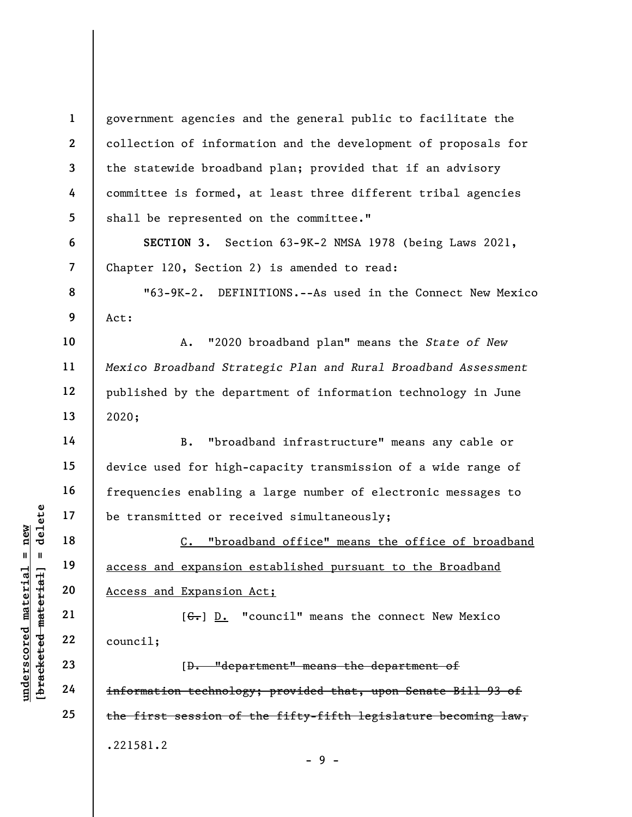1 2 3 4 5 6 7 8 9 10 11 government agencies and the general public to facilitate the collection of information and the development of proposals for the statewide broadband plan; provided that if an advisory committee is formed, at least three different tribal agencies shall be represented on the committee." SECTION 3. Section 63-9K-2 NMSA 1978 (being Laws 2021, Chapter 120, Section 2) is amended to read: "63-9K-2. DEFINITIONS.--As used in the Connect New Mexico Act: A. "2020 broadband plan" means the State of New

Mexico Broadband Strategic Plan and Rural Broadband Assessment published by the department of information technology in June 2020;

14 15 16 17 B. "broadband infrastructure" means any cable or device used for high-capacity transmission of a wide range of frequencies enabling a large number of electronic messages to be transmitted or received simultaneously;

UNDER THE MATHEM 19<br>
UNDER THE MATHEM 19<br>
UNDER THE MATHEM 19<br>
UNDER 20<br>
UNDER 22<br>
UNDER 22<br>
UNDER 22<br>
UNDER 22<br>
UNDER 22<br>
COUNCIL;<br>
COUNCIL;<br>
COUNCIL;<br>
COUNCIL;<br>
COUNCIL;<br>
COUNCIL;<br>
COUNCIL;<br>
COUNCIL;<br>
COUNCIL;<br>
COUNCIL;<br> C. "broadband office" means the office of broadband access and expansion established pursuant to the Broadband Access and Expansion Act;

 $[G<sub>1</sub>]$  D. "council" means the connect New Mexico council;

[D. "department" means the department of information technology; provided that, upon Senate Bill 93 of the first session of the fifty-fifth legislature becoming law, .221581.2 - 9 -

12

13

18

19

20

21

22

23

24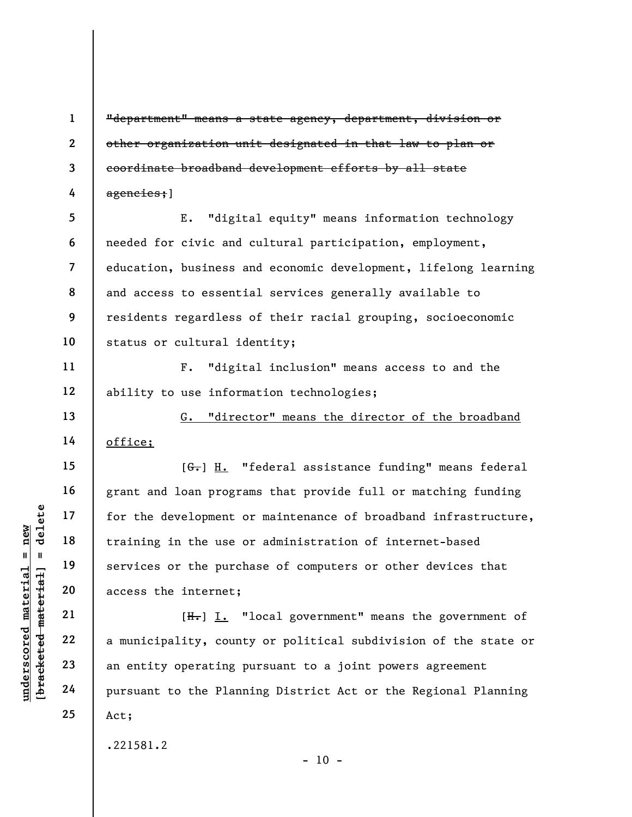"department" means a state agency, department, division or other organization unit designated in that law to plan or coordinate broadband development efforts by all state agencies;]

5 6 7 8 9 10 E. "digital equity" means information technology needed for civic and cultural participation, employment, education, business and economic development, lifelong learning and access to essential services generally available to residents regardless of their racial grouping, socioeconomic status or cultural identity;

F. "digital inclusion" means access to and the ability to use information technologies;

G. "director" means the director of the broadband office;

understand material material of the development of training in the use of the purch services or the purch access the internet;<br>all the services or the purch access the internet;<br>all the services or the purch access the int  $[G<sub>1</sub>]$  H. "federal assistance funding" means federal grant and loan programs that provide full or matching funding for the development or maintenance of broadband infrastructure, training in the use or administration of internet-based services or the purchase of computers or other devices that access the internet;

 $[H<sub>1</sub>]$  I. "local government" means the government of a municipality, county or political subdivision of the state or an entity operating pursuant to a joint powers agreement pursuant to the Planning District Act or the Regional Planning Act;

.221581.2

 $- 10 -$ 

1

2

3

4

11

12

13

14

15

16

17

18

19

20

21

22

23

24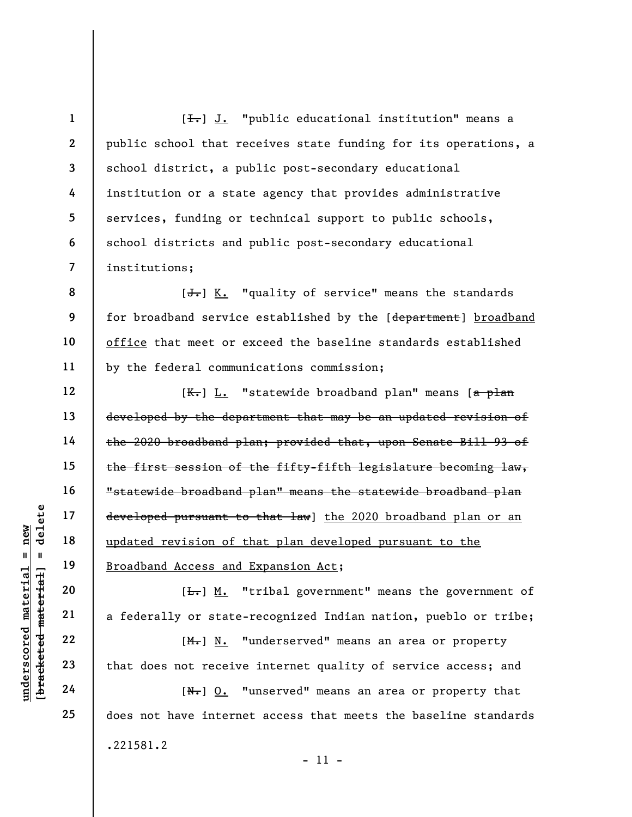$[\frac{1}{\sqrt{1}}]$  J. "public educational institution" means a public school that receives state funding for its operations, a school district, a public post-secondary educational institution or a state agency that provides administrative services, funding or technical support to public schools, school districts and public post-secondary educational institutions;

[J.] K. "quality of service" means the standards for broadband service established by the [department] broadband office that meet or exceed the baseline standards established by the federal communications commission;

understand<br>
and the state of the state of the state of the state<br>
with the state of the state of the state<br>
and the state of the state of the state<br>
22 (M.) <u>N.</u><br>
23 (M.) <u>N.</u><br>
24 (N.) <u>O.</u><br>
1 [K.] L. "statewide broadband plan" means [a plan developed by the department that may be an updated revision of the 2020 broadband plan; provided that, upon Senate Bill 93 of the first session of the fifty-fifth legislature becoming law, "statewide broadband plan" means the statewide broadband plan developed pursuant to that law] the 2020 broadband plan or an updated revision of that plan developed pursuant to the Broadband Access and Expansion Act;

 $[\frac{L}{\sqrt{L}}]$  M. "tribal government" means the government of a federally or state-recognized Indian nation, pueblo or tribe;

[M.] N. "underserved" means an area or property that does not receive internet quality of service access; and

 $[N<sub>r</sub>]$  0. "unserved" means an area or property that does not have internet access that meets the baseline standards .221581.2 - 11 -

1

2

3

4

5

6

7

8

9

10

11

12

13

14

15

16

17

18

19

20

21

22

23

24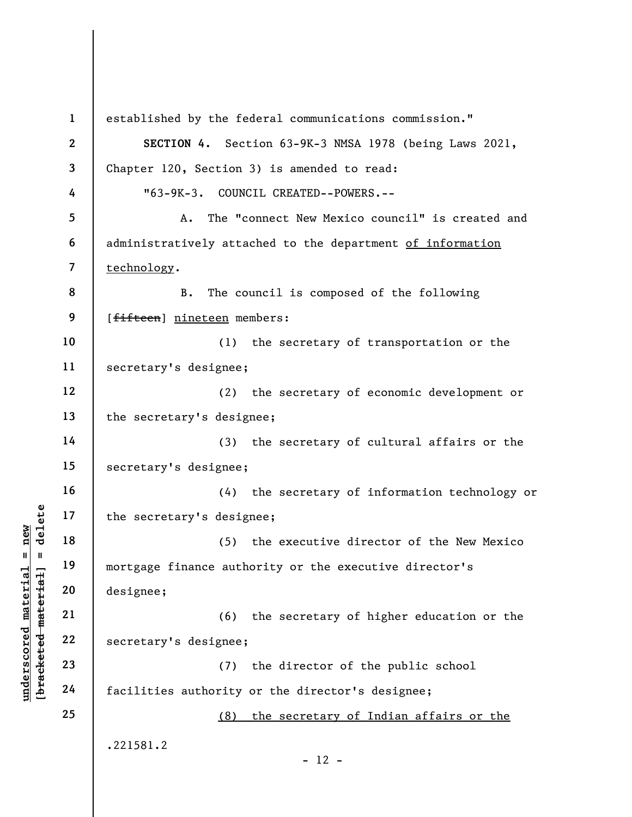underschied and the secretary's designed material of the secretary's design (5)<br>
and 19 mortgage finance authority<br>
designee;<br>
21 c6)<br>
22 secretary's designee;<br>
23 c7)<br>
24 facilities authority 1 2 3 4 5 6 7 8 9 10 11 12 13 14 15 16 17 18 19 20 21 22 23 24 25 established by the federal communications commission." SECTION 4. Section 63-9K-3 NMSA 1978 (being Laws 2021, Chapter 120, Section 3) is amended to read: "63-9K-3. COUNCIL CREATED--POWERS.-- A. The "connect New Mexico council" is created and administratively attached to the department of information technology. B. The council is composed of the following [fifteen] nineteen members: (1) the secretary of transportation or the secretary's designee; (2) the secretary of economic development or the secretary's designee; (3) the secretary of cultural affairs or the secretary's designee; (4) the secretary of information technology or the secretary's designee; (5) the executive director of the New Mexico mortgage finance authority or the executive director's designee; (6) the secretary of higher education or the secretary's designee; (7) the director of the public school facilities authority or the director's designee; (8) the secretary of Indian affairs or the .221581.2  $- 12 -$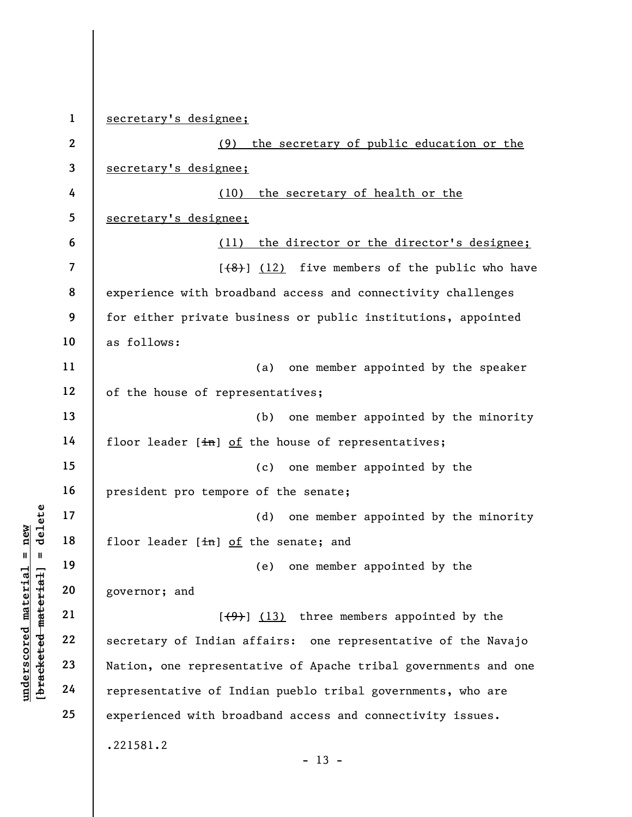underscored material = new [bracketed material] = delete 1 2 3 4 5 6 7 8 9 10 11 12 13 14 15 16 17 18 19 20 21 22 23 24 25 secretary's designee; (9) the secretary of public education or the secretary's designee; (10) the secretary of health or the secretary's designee; (11) the director or the director's designee;  $[$ (48)] (12) five members of the public who have experience with broadband access and connectivity challenges for either private business or public institutions, appointed as follows: (a) one member appointed by the speaker of the house of representatives; (b) one member appointed by the minority floor leader  $[\frac{in}{n}]$  of the house of representatives; (c) one member appointed by the president pro tempore of the senate; (d) one member appointed by the minority floor leader  $[\frac{1}{n}]$  of the senate; and (e) one member appointed by the governor; and  $[ (9) ]$  (13) three members appointed by the secretary of Indian affairs: one representative of the Navajo Nation, one representative of Apache tribal governments and one representative of Indian pueblo tribal governments, who are experienced with broadband access and connectivity issues. .221581.2  $- 13 -$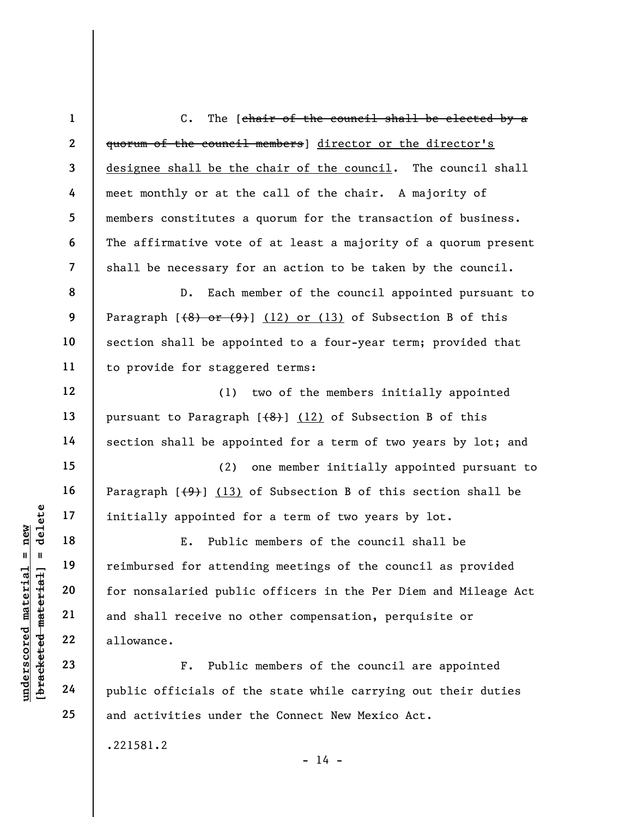1 2 3 4 5 6 7 C. The [chair of the council shall be elected by a quorum of the council members] director or the director's designee shall be the chair of the council. The council shall meet monthly or at the call of the chair. A majority of members constitutes a quorum for the transaction of business. The affirmative vote of at least a majority of a quorum present shall be necessary for an action to be taken by the council.

D. Each member of the council appointed pursuant to Paragraph  $[48)$  or  $(9)$ ] (12) or (13) of Subsection B of this section shall be appointed to a four-year term; provided that to provide for staggered terms:

(1) two of the members initially appointed pursuant to Paragraph  $(6)$  (12) of Subsection B of this section shall be appointed for a term of two years by lot; and

(2) one member initially appointed pursuant to Paragraph  $[\frac{49}{13})$  (13) of Subsection B of this section shall be initially appointed for a term of two years by lot.

understand material material material material material material material material material material material material contractions of the contract of the contract of the contract of the contract of the contract of the con E. Public members of the council shall be reimbursed for attending meetings of the council as provided for nonsalaried public officers in the Per Diem and Mileage Act and shall receive no other compensation, perquisite or allowance.

F. Public members of the council are appointed public officials of the state while carrying out their duties and activities under the Connect New Mexico Act.

.221581.2

8

9

10

11

12

13

14

15

16

17

18

19

20

21

22

23

24

25

 $- 14 -$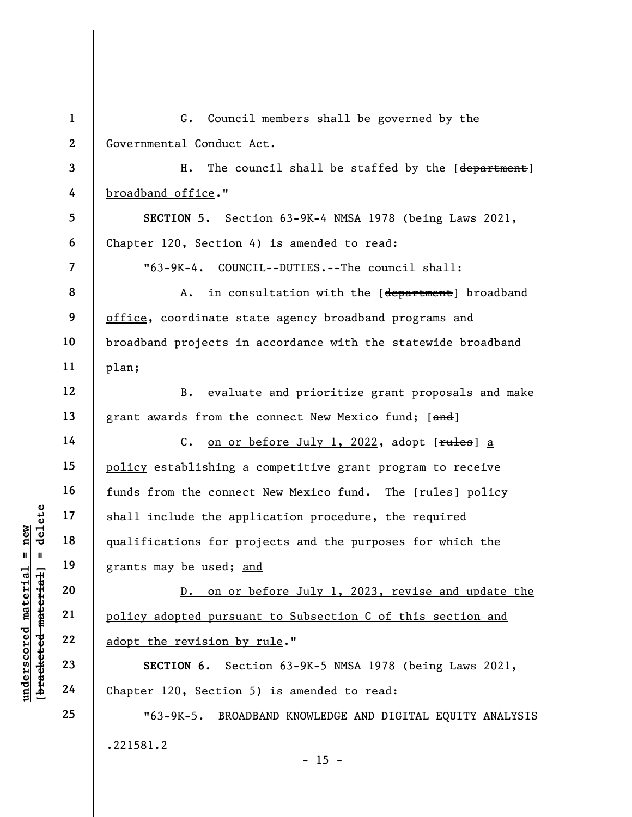underscored material = new [bracketed material] = delete 1 2 3 4 5 6 7 8 9 10 11 12 13 14 15 16 17 18 19 20 21 22 23 24 25 G. Council members shall be governed by the Governmental Conduct Act. H. The council shall be staffed by the [department] broadband office." SECTION 5. Section 63-9K-4 NMSA 1978 (being Laws 2021, Chapter 120, Section 4) is amended to read: "63-9K-4. COUNCIL--DUTIES.--The council shall: A. in consultation with the [department] broadband office, coordinate state agency broadband programs and broadband projects in accordance with the statewide broadband plan; B. evaluate and prioritize grant proposals and make grant awards from the connect New Mexico fund; [and] C. on or before July 1, 2022, adopt [rules] a policy establishing a competitive grant program to receive funds from the connect New Mexico fund. The [rules] policy shall include the application procedure, the required qualifications for projects and the purposes for which the grants may be used; and D. on or before July 1, 2023, revise and update the policy adopted pursuant to Subsection C of this section and adopt the revision by rule." SECTION 6. Section 63-9K-5 NMSA 1978 (being Laws 2021, Chapter 120, Section 5) is amended to read: "63-9K-5. BROADBAND KNOWLEDGE AND DIGITAL EQUITY ANALYSIS .221581.2

 $- 15 -$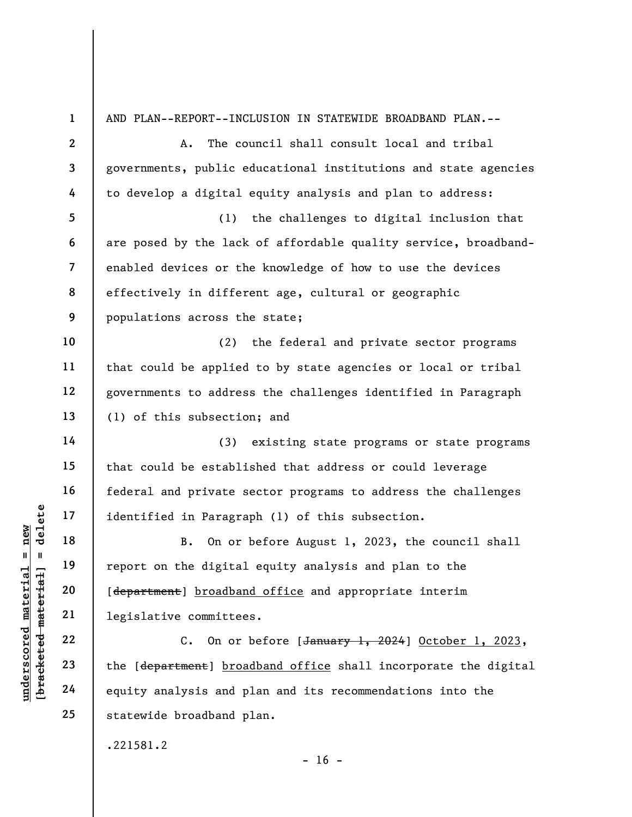underscored material = new [bracketed material] = delete 1 2 3 4 5 6 7 8 9 10 11 12 13 14 15 16 17 18 19 20 21 22 23 24 25 AND PLAN--REPORT--INCLUSION IN STATEWIDE BROADBAND PLAN.-- A. The council shall consult local and tribal governments, public educational institutions and state agencies to develop a digital equity analysis and plan to address: (1) the challenges to digital inclusion that are posed by the lack of affordable quality service, broadbandenabled devices or the knowledge of how to use the devices effectively in different age, cultural or geographic populations across the state; (2) the federal and private sector programs that could be applied to by state agencies or local or tribal governments to address the challenges identified in Paragraph (1) of this subsection; and (3) existing state programs or state programs that could be established that address or could leverage federal and private sector programs to address the challenges identified in Paragraph (1) of this subsection. B. On or before August 1, 2023, the council shall report on the digital equity analysis and plan to the [department] broadband office and appropriate interim legislative committees. C. On or before  $[January 1, 2024]$  October 1, 2023, the [department] broadband office shall incorporate the digital equity analysis and plan and its recommendations into the statewide broadband plan. .221581.2  $- 16 -$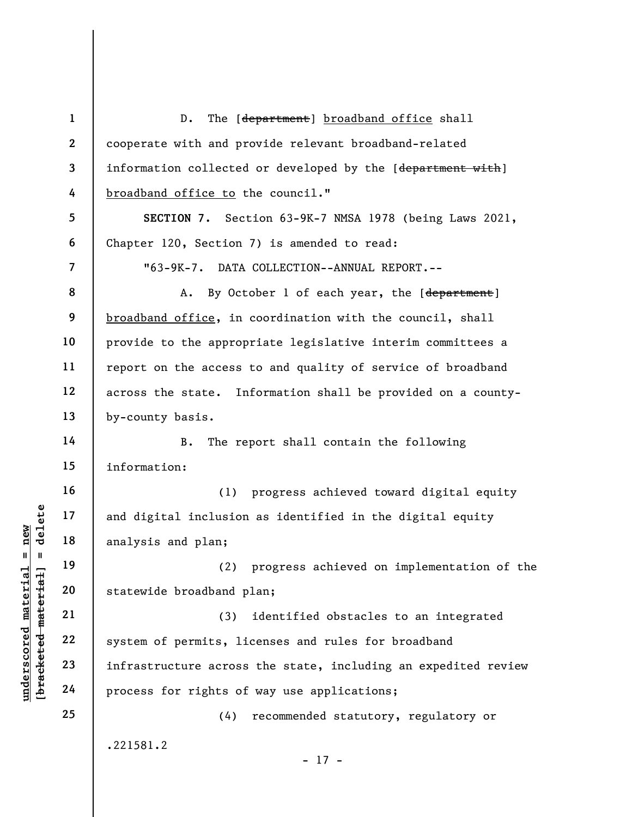underscored material inclusion<br>  $\begin{bmatrix}\n1 & 1 & 1 & 1 \\
0 & 1 & 1 & 1 & 1 \\
0 & 0 & 0 & 0 & 0 \\
0 & 0 & 0 & 0 & 0 \\
0 & 0 & 0 & 0 & 0 \\
0 & 0 & 0 & 0 & 0 \\
0 & 0 & 0 & 0 & 0 \\
0 & 0 & 0 & 0 & 0 \\
0 & 0 & 0 & 0 & 0 \\
0 & 0 & 0 & 0 & 0 \\
0 & 0 & 0 & 0 & 0 \\
0 & 0 & 0 & 0 & 0 \\
0 & 0 & 0 & 0 & 0 \\
0 &$ 1 2 3 4 5 6 7 8 9 10 11 12 13 14 15 16 17 18 19 20 21 22 23 24 25 D. The [department] broadband office shall cooperate with and provide relevant broadband-related information collected or developed by the [department with] broadband office to the council." SECTION 7. Section 63-9K-7 NMSA 1978 (being Laws 2021, Chapter 120, Section 7) is amended to read: "63-9K-7. DATA COLLECTION--ANNUAL REPORT.-- A. By October 1 of each year, the [department] broadband office, in coordination with the council, shall provide to the appropriate legislative interim committees a report on the access to and quality of service of broadband across the state. Information shall be provided on a countyby-county basis. B. The report shall contain the following information: (1) progress achieved toward digital equity and digital inclusion as identified in the digital equity analysis and plan; (2) progress achieved on implementation of the statewide broadband plan; (3) identified obstacles to an integrated system of permits, licenses and rules for broadband infrastructure across the state, including an expedited review process for rights of way use applications; (4) recommended statutory, regulatory or .221581.2 - 17 -